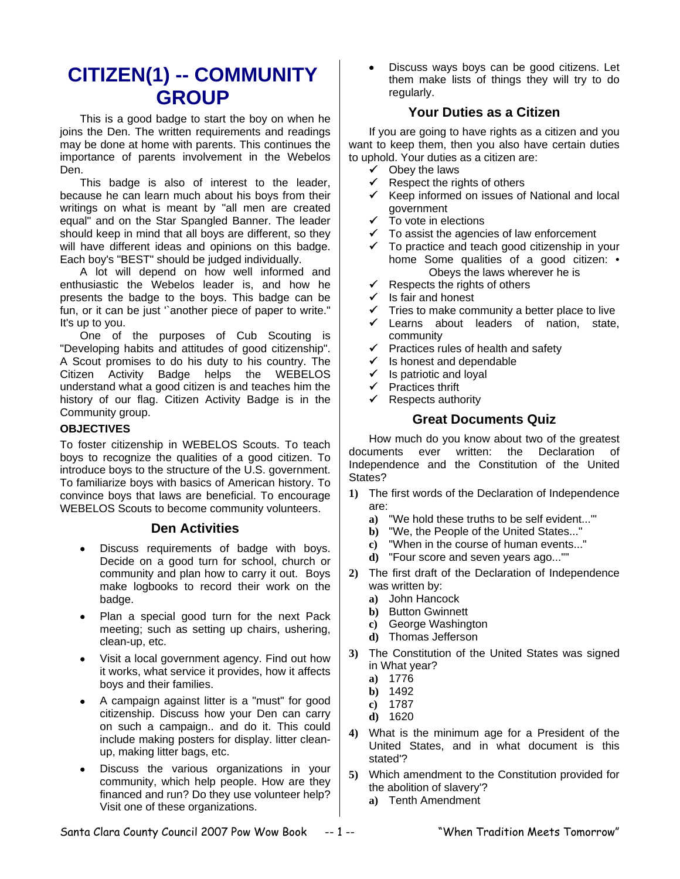# **CITIZEN(1) -- COMMUNITY GROUP**

This is a good badge to start the boy on when he joins the Den. The written requirements and readings may be done at home with parents. This continues the importance of parents involvement in the Webelos Den.

This badge is also of interest to the leader, because he can learn much about his boys from their writings on what is meant by "all men are created equal" and on the Star Spangled Banner. The leader should keep in mind that all boys are different, so they will have different ideas and opinions on this badge. Each boy's "BEST" should be judged individually.

A lot will depend on how well informed and enthusiastic the Webelos leader is, and how he presents the badge to the boys. This badge can be fun, or it can be just "another piece of paper to write." It's up to you.

One of the purposes of Cub Scouting is "Developing habits and attitudes of good citizenship". A Scout promises to do his duty to his country. The Citizen Activity Badge helps the WEBELOS understand what a good citizen is and teaches him the history of our flag. Citizen Activity Badge is in the Community group.

## **OBJECTIVES**

To foster citizenship in WEBELOS Scouts. To teach boys to recognize the qualities of a good citizen. To introduce boys to the structure of the U.S. government. To familiarize boys with basics of American history. To convince boys that laws are beneficial. To encourage WEBELOS Scouts to become community volunteers.

## **Den Activities**

- Discuss requirements of badge with boys. Decide on a good turn for school, church or community and plan how to carry it out. Boys make logbooks to record their work on the badge.
- Plan a special good turn for the next Pack meeting; such as setting up chairs, ushering, clean-up, etc.
- Visit a local government agency. Find out how it works, what service it provides, how it affects boys and their families.
- A campaign against litter is a "must" for good citizenship. Discuss how your Den can carry on such a campaign.. and do it. This could include making posters for display. litter cleanup, making litter bags, etc.
- Discuss the various organizations in your community, which help people. How are they financed and run? Do they use volunteer help? Visit one of these organizations.

• Discuss ways boys can be good citizens. Let them make lists of things they will try to do regularly.

# **Your Duties as a Citizen**

If you are going to have rights as a citizen and you want to keep them, then you also have certain duties to uphold. Your duties as a citizen are:

- $\checkmark$  Obey the laws
- $\checkmark$  Respect the rights of others
- $\checkmark$  Keep informed on issues of National and local government
- $\checkmark$  To vote in elections
- $\checkmark$  To assist the agencies of law enforcement
- $\checkmark$  To practice and teach good citizenship in your home Some qualities of a good citizen: • Obeys the laws wherever he is
- $\checkmark$  Respects the rights of others
- $\checkmark$  Is fair and honest<br> $\checkmark$  Tries to make com
- Tries to make community a better place to live
- $\checkmark$  Learns about leaders of nation, state, community
- $\checkmark$  Practices rules of health and safety
- $\checkmark$  Is honest and dependable
- $\checkmark$  Is patriotic and loyal
- $\checkmark$  Practices thrift
- $\checkmark$  Respects authority

## **Great Documents Quiz**

How much do you know about two of the greatest documents ever written: the Declaration of Independence and the Constitution of the United States?

- **1)** The first words of the Declaration of Independence are:
	- **a)** "We hold these truths to be self evident..."'
	- **b)** "We, the People of the United States..."
	- **c)** "When in the course of human events..."
	- **d)** "Four score and seven years ago...""
- **2)** The first draft of the Declaration of Independence was written by:
	- **a)** John Hancock
	- **b)** Button Gwinnett
	- **c)** George Washington
	- **d)** Thomas Jefferson
- **3)** The Constitution of the United States was signed in What year?
	- **a)** 1776
	- **b)** 1492
	- **c)** 1787
	- **d)** 1620
- **4)** What is the minimum age for a President of the United States, and in what document is this stated'?
- **5)** Which amendment to the Constitution provided for the abolition of slavery'?
	- **a)** Tenth Amendment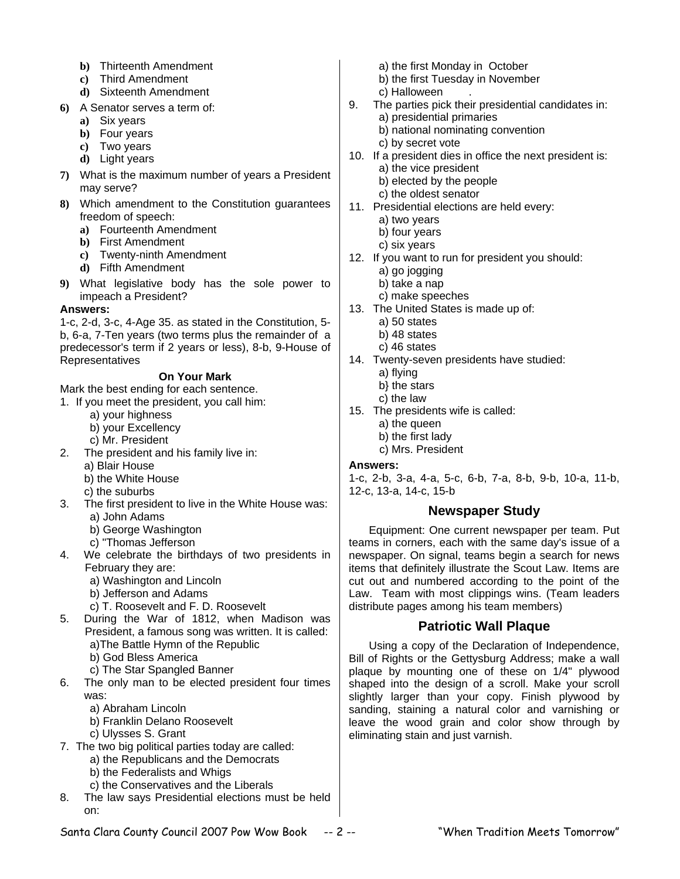- **b)** Thirteenth Amendment
- **c)** Third Amendment
- **d)** Sixteenth Amendment
- **6)** A Senator serves a term of:
	- **a)** Six years
	- **b)** Four years
	- **c)** Two years
	- **d)** Light years
- **7)** What is the maximum number of years a President may serve?
- **8)** Which amendment to the Constitution guarantees freedom of speech:
	- **a)** Fourteenth Amendment
	- **b)** First Amendment
	- **c)** Twenty-ninth Amendment
	- **d)** Fifth Amendment
- **9)** What legislative body has the sole power to impeach a President?

## **Answers:**

1-c, 2-d, 3-c, 4-Age 35. as stated in the Constitution, 5 b, 6-a, 7-Ten years (two terms plus the remainder of a predecessor's term if 2 years or less), 8-b, 9-House of Representatives

## **On Your Mark**

Mark the best ending for each sentence.

- 1. If you meet the president, you call him:
	- a) your highness
	- b) your Excellency
	- c) Mr. President
- 2. The president and his family live in:
	- a) Blair House
	- b) the White House
	- c) the suburbs
- 3. The first president to live in the White House was: a) John Adams
	- b) George Washington
	- c) "Thomas Jefferson
- 4. We celebrate the birthdays of two presidents in February they are:
	- a) Washington and Lincoln
	- b) Jefferson and Adams
	- c) T. Roosevelt and F. D. Roosevelt
- 5. During the War of 1812, when Madison was President, a famous song was written. It is called: a)The Battle Hymn of the Republic b) God Bless America
	-
	- c) The Star Spangled Banner
- 6. The only man to be elected president four times was:
	- a) Abraham Lincoln
	- b) Franklin Delano Roosevelt
	- c) Ulysses S. Grant
- 7. The two big political parties today are called:
	- a) the Republicans and the Democrats
	- b) the Federalists and Whigs
	- c) the Conservatives and the Liberals
- 8. The law says Presidential elections must be held on:
- a) the first Monday in October
- b) the first Tuesday in November
- c) Halloween
- 9. The parties pick their presidential candidates in:
	- a) presidential primaries
	- b) national nominating convention
	- c) by secret vote
- 10. If a president dies in office the next president is: a) the vice president
	- b) elected by the people
	- c) the oldest senator
- 11. Presidential elections are held every:
	- a) two years
	- b) four years
	- c) six years
- 12. If you want to run for president you should:
	- a) go jogging
	- b) take a nap
	- c) make speeches
- 13. The United States is made up of:
	- a) 50 states
	- b) 48 states
	- c) 46 states
- 14. Twenty-seven presidents have studied:
	- a) flying
	- b} the stars
	- c) the law
- 15. The presidents wife is called:
	- a) the queen
	- b) the first lady
	- c) Mrs. President

#### **Answers:**

1-c, 2-b, 3-a, 4-a, 5-c, 6-b, 7-a, 8-b, 9-b, 10-a, 11-b, 12-c, 13-a, 14-c, 15-b

## **Newspaper Study**

Equipment: One current newspaper per team. Put teams in corners, each with the same day's issue of a newspaper. On signal, teams begin a search for news items that definitely illustrate the Scout Law. Items are cut out and numbered according to the point of the Law. Team with most clippings wins. (Team leaders distribute pages among his team members)

# **Patriotic Wall Plaque**

Using a copy of the Declaration of Independence, Bill of Rights or the Gettysburg Address; make a wall plaque by mounting one of these on 1/4" plywood shaped into the design of a scroll. Make your scroll slightly larger than your copy. Finish plywood by sanding, staining a natural color and varnishing or leave the wood grain and color show through by eliminating stain and just varnish.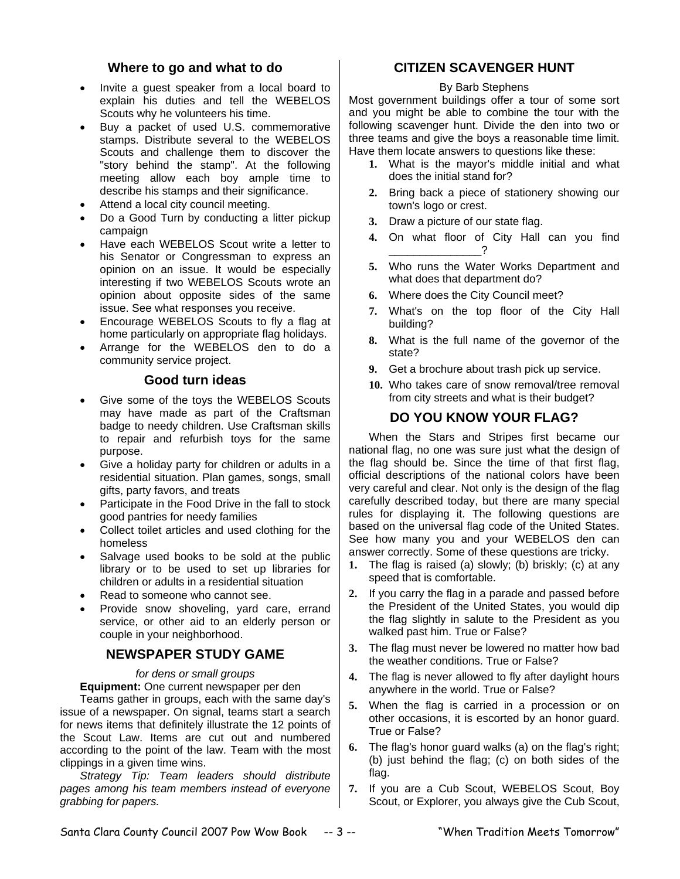# **Where to go and what to do**

- Invite a guest speaker from a local board to explain his duties and tell the WEBELOS Scouts why he volunteers his time.
- Buy a packet of used U.S. commemorative stamps. Distribute several to the WEBELOS Scouts and challenge them to discover the "story behind the stamp". At the following meeting allow each boy ample time to describe his stamps and their significance.
- Attend a local city council meeting.
- Do a Good Turn by conducting a litter pickup campaign
- Have each WEBELOS Scout write a letter to his Senator or Congressman to express an opinion on an issue. It would be especially interesting if two WEBELOS Scouts wrote an opinion about opposite sides of the same issue. See what responses you receive.
- Encourage WEBELOS Scouts to fly a flag at home particularly on appropriate flag holidays.
- Arrange for the WEBELOS den to do a community service project.

## **Good turn ideas**

- Give some of the toys the WEBELOS Scouts may have made as part of the Craftsman badge to needy children. Use Craftsman skills to repair and refurbish toys for the same purpose.
- Give a holiday party for children or adults in a residential situation. Plan games, songs, small gifts, party favors, and treats
- Participate in the Food Drive in the fall to stock good pantries for needy families
- Collect toilet articles and used clothing for the homeless
- Salvage used books to be sold at the public library or to be used to set up libraries for children or adults in a residential situation
- Read to someone who cannot see.
- Provide snow shoveling, yard care, errand service, or other aid to an elderly person or couple in your neighborhood.

# **NEWSPAPER STUDY GAME**

*for dens or small groups* 

**Equipment:** One current newspaper per den

Teams gather in groups, each with the same day's issue of a newspaper. On signal, teams start a search for news items that definitely illustrate the 12 points of the Scout Law. Items are cut out and numbered according to the point of the law. Team with the most clippings in a given time wins.

*Strategy Tip: Team leaders should distribute pages among his team members instead of everyone grabbing for papers.* 

# **CITIZEN SCAVENGER HUNT**

## By Barb Stephens

Most government buildings offer a tour of some sort and you might be able to combine the tour with the following scavenger hunt. Divide the den into two or three teams and give the boys a reasonable time limit. Have them locate answers to questions like these:

- **1.** What is the mayor's middle initial and what does the initial stand for?
- **2.** Bring back a piece of stationery showing our town's logo or crest.
- **3.** Draw a picture of our state flag.
- **4.** On what floor of City Hall can you find \_\_\_\_\_\_\_\_\_\_\_\_\_\_\_?
- **5.** Who runs the Water Works Department and what does that department do?
- **6.** Where does the City Council meet?
- **7.** What's on the top floor of the City Hall building?
- **8.** What is the full name of the governor of the state?
- **9.** Get a brochure about trash pick up service.
- **10.** Who takes care of snow removal/tree removal from city streets and what is their budget?

# **DO YOU KNOW YOUR FLAG?**

When the Stars and Stripes first became our national flag, no one was sure just what the design of the flag should be. Since the time of that first flag, official descriptions of the national colors have been very careful and clear. Not only is the design of the flag carefully described today, but there are many special rules for displaying it. The following questions are based on the universal flag code of the United States. See how many you and your WEBELOS den can answer correctly. Some of these questions are tricky.

- **1.** The flag is raised (a) slowly; (b) briskly; (c) at any speed that is comfortable.
- **2.** If you carry the flag in a parade and passed before the President of the United States, you would dip the flag slightly in salute to the President as you walked past him. True or False?
- **3.** The flag must never be lowered no matter how bad the weather conditions. True or False?
- **4.** The flag is never allowed to fly after daylight hours anywhere in the world. True or False?
- **5.** When the flag is carried in a procession or on other occasions, it is escorted by an honor guard. True or False?
- **6.** The flag's honor guard walks (a) on the flag's right; (b) just behind the flag; (c) on both sides of the flag.
- **7.** If you are a Cub Scout, WEBELOS Scout, Boy Scout, or Explorer, you always give the Cub Scout,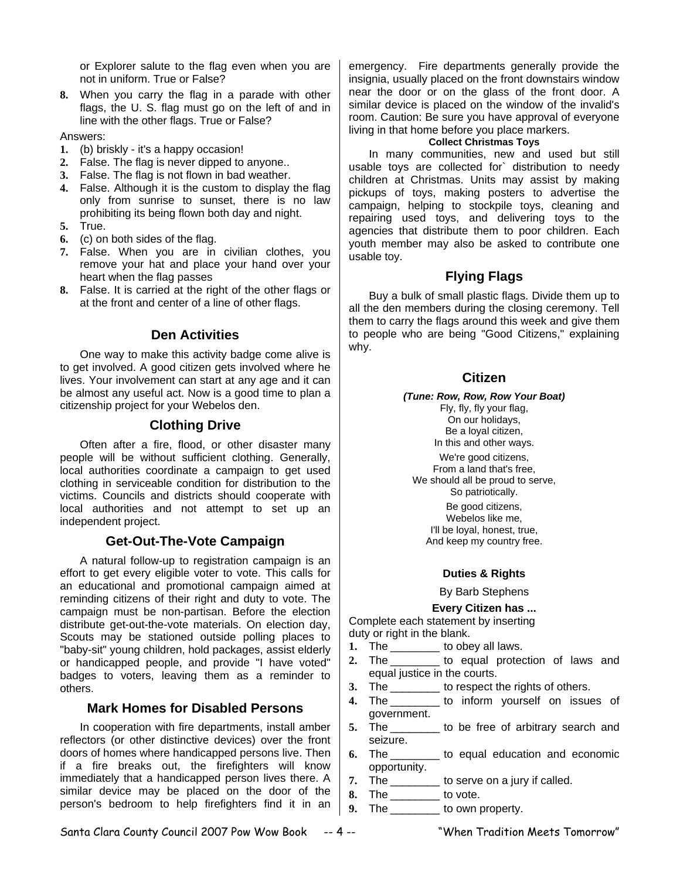or Explorer salute to the flag even when you are not in uniform. True or False?

**8.** When you carry the flag in a parade with other flags, the U. S. flag must go on the left of and in line with the other flags. True or False?

Answers:

- **1.** (b) briskly it's a happy occasion!
- **2.** False. The flag is never dipped to anyone..
- **3.** False. The flag is not flown in bad weather.
- **4.** False. Although it is the custom to display the flag only from sunrise to sunset, there is no law prohibiting its being flown both day and night.
- **5.** True.
- **6.** (c) on both sides of the flag.
- **7.** False. When you are in civilian clothes, you remove your hat and place your hand over your heart when the flag passes
- **8.** False. It is carried at the right of the other flags or at the front and center of a line of other flags.

# **Den Activities**

One way to make this activity badge come alive is to get involved. A good citizen gets involved where he lives. Your involvement can start at any age and it can be almost any useful act. Now is a good time to plan a citizenship project for your Webelos den.

# **Clothing Drive**

Often after a fire, flood, or other disaster many people will be without sufficient clothing. Generally, local authorities coordinate a campaign to get used clothing in serviceable condition for distribution to the victims. Councils and districts should cooperate with local authorities and not attempt to set up an independent project.

## **Get-Out-The-Vote Campaign**

A natural follow-up to registration campaign is an effort to get every eligible voter to vote. This calls for an educational and promotional campaign aimed at reminding citizens of their right and duty to vote. The campaign must be non-partisan. Before the election distribute get-out-the-vote materials. On election day, Scouts may be stationed outside polling places to "baby-sit" young children, hold packages, assist elderly or handicapped people, and provide "I have voted" badges to voters, leaving them as a reminder to others.

# **Mark Homes for Disabled Persons**

In cooperation with fire departments, install amber reflectors (or other distinctive devices) over the front doors of homes where handicapped persons live. Then if a fire breaks out, the firefighters will know immediately that a handicapped person lives there. A similar device may be placed on the door of the person's bedroom to help firefighters find it in an

emergency. Fire departments generally provide the insignia, usually placed on the front downstairs window near the door or on the glass of the front door. A similar device is placed on the window of the invalid's room. Caution: Be sure you have approval of everyone living in that home before you place markers.

#### **Collect Christmas Toys**

In many communities, new and used but still usable toys are collected for` distribution to needy children at Christmas. Units may assist by making pickups of toys, making posters to advertise the campaign, helping to stockpile toys, cleaning and repairing used toys, and delivering toys to the agencies that distribute them to poor children. Each youth member may also be asked to contribute one usable toy.

# **Flying Flags**

Buy a bulk of small plastic flags. Divide them up to all the den members during the closing ceremony. Tell them to carry the flags around this week and give them to people who are being "Good Citizens," explaining why.

# **Citizen**

#### *(Tune: Row, Row, Row Your Boat)*

Fly, fly, fly your flag, On our holidays, Be a loyal citizen,

In this and other ways. We're good citizens,

From a land that's free, We should all be proud to serve, So patriotically.

Be good citizens, Webelos like me, I'll be loyal, honest, true, And keep my country free.

#### **Duties & Rights**

By Barb Stephens

**Every Citizen has ...**

Complete each statement by inserting duty or right in the blank.

- **1.** The \_\_\_\_\_\_\_\_ to obey all laws.
- 2. The **b** to equal protection of laws and equal justice in the courts.
- **3.** The \_\_\_\_\_\_\_\_ to respect the rights of others.
- **4.** The \_\_\_\_\_\_\_\_ to inform yourself on issues of government.
- **5.** The \_\_\_\_\_\_\_\_ to be free of arbitrary search and seizure.
- **6.** The \_\_\_\_\_\_\_\_ to equal education and economic opportunity.
- **7.** The \_\_\_\_\_\_\_\_ to serve on a jury if called.
- **8.** The \_\_\_\_\_\_\_\_ to vote.
- **9.** The \_\_\_\_\_\_\_\_ to own property.